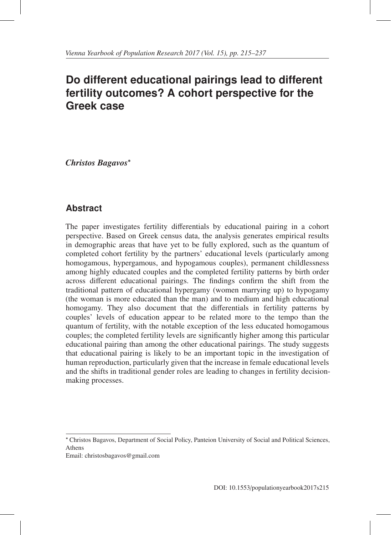# **Do different educational pairings lead to different fertility outcomes? A cohort perspective for the Greek case**

*Christos Bagavos*<sup>∗</sup>

## **Abstract**

The paper investigates fertility differentials by educational pairing in a cohort perspective. Based on Greek census data, the analysis generates empirical results in demographic areas that have yet to be fully explored, such as the quantum of completed cohort fertility by the partners' educational levels (particularly among homogamous, hypergamous, and hypogamous couples), permanent childlessness among highly educated couples and the completed fertility patterns by birth order across different educational pairings. The findings confirm the shift from the traditional pattern of educational hypergamy (women marrying up) to hypogamy (the woman is more educated than the man) and to medium and high educational homogamy. They also document that the differentials in fertility patterns by couples' levels of education appear to be related more to the tempo than the quantum of fertility, with the notable exception of the less educated homogamous couples; the completed fertility levels are significantly higher among this particular educational pairing than among the other educational pairings. The study suggests that educational pairing is likely to be an important topic in the investigation of human reproduction, particularly given that the increase in female educational levels and the shifts in traditional gender roles are leading to changes in fertility decisionmaking processes.

Email: christosbagavos@gmail.com

<sup>∗</sup> Christos Bagavos, Department of Social Policy, Panteion University of Social and Political Sciences, Athens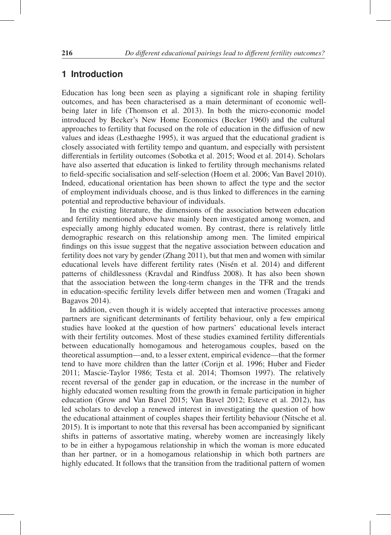## **1 Introduction**

Education has long been seen as playing a significant role in shaping fertility outcomes, and has been characterised as a main determinant of economic wellbeing later in life (Thomson et al. 2013). In both the micro-economic model introduced by Becker's New Home Economics (Becker 1960) and the cultural approaches to fertility that focused on the role of education in the diffusion of new values and ideas (Lesthaeghe 1995), it was argued that the educational gradient is closely associated with fertility tempo and quantum, and especially with persistent differentials in fertility outcomes (Sobotka et al. 2015; Wood et al. 2014). Scholars have also asserted that education is linked to fertility through mechanisms related to field-specific socialisation and self-selection (Hoem et al. 2006; Van Bavel 2010). Indeed, educational orientation has been shown to affect the type and the sector of employment individuals choose, and is thus linked to differences in the earning potential and reproductive behaviour of individuals.

In the existing literature, the dimensions of the association between education and fertility mentioned above have mainly been investigated among women, and especially among highly educated women. By contrast, there is relatively little demographic research on this relationship among men. The limited empirical findings on this issue suggest that the negative association between education and fertility does not vary by gender (Zhang 2011), but that men and women with similar educational levels have different fertility rates (Nisén et al. 2014) and different patterns of childlessness (Kravdal and Rindfuss 2008). It has also been shown that the association between the long-term changes in the TFR and the trends in education-specific fertility levels differ between men and women (Tragaki and Bagavos 2014).

In addition, even though it is widely accepted that interactive processes among partners are significant determinants of fertility behaviour, only a few empirical studies have looked at the question of how partners' educational levels interact with their fertility outcomes. Most of these studies examined fertility differentials between educationally homogamous and heterogamous couples, based on the theoretical assumption—and, to a lesser extent, empirical evidence—that the former tend to have more children than the latter (Corijn et al. 1996; Huber and Fieder 2011; Mascie-Taylor 1986; Testa et al. 2014; Thomson 1997). The relatively recent reversal of the gender gap in education, or the increase in the number of highly educated women resulting from the growth in female participation in higher education (Grow and Van Bavel 2015; Van Bavel 2012; Esteve et al. 2012), has led scholars to develop a renewed interest in investigating the question of how the educational attainment of couples shapes their fertility behaviour (Nitsche et al. 2015). It is important to note that this reversal has been accompanied by significant shifts in patterns of assortative mating, whereby women are increasingly likely to be in either a hypogamous relationship in which the woman is more educated than her partner, or in a homogamous relationship in which both partners are highly educated. It follows that the transition from the traditional pattern of women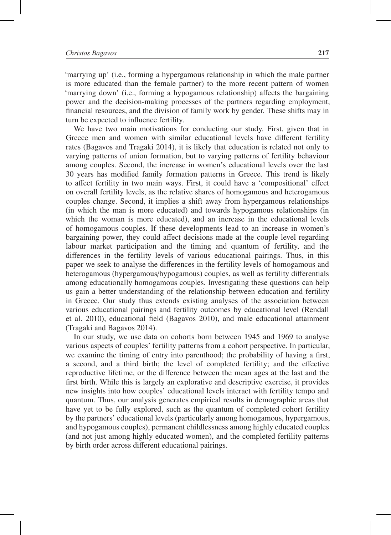'marrying up' (i.e., forming a hypergamous relationship in which the male partner is more educated than the female partner) to the more recent pattern of women 'marrying down' (i.e., forming a hypogamous relationship) affects the bargaining power and the decision-making processes of the partners regarding employment, financial resources, and the division of family work by gender. These shifts may in turn be expected to influence fertility.

We have two main motivations for conducting our study. First, given that in Greece men and women with similar educational levels have different fertility rates (Bagavos and Tragaki 2014), it is likely that education is related not only to varying patterns of union formation, but to varying patterns of fertility behaviour among couples. Second, the increase in women's educational levels over the last 30 years has modified family formation patterns in Greece. This trend is likely to affect fertility in two main ways. First, it could have a 'compositional' effect on overall fertility levels, as the relative shares of homogamous and heterogamous couples change. Second, it implies a shift away from hypergamous relationships (in which the man is more educated) and towards hypogamous relationships (in which the woman is more educated), and an increase in the educational levels of homogamous couples. If these developments lead to an increase in women's bargaining power, they could affect decisions made at the couple level regarding labour market participation and the timing and quantum of fertility, and the differences in the fertility levels of various educational pairings. Thus, in this paper we seek to analyse the differences in the fertility levels of homogamous and heterogamous (hypergamous/hypogamous) couples, as well as fertility differentials among educationally homogamous couples. Investigating these questions can help us gain a better understanding of the relationship between education and fertility in Greece. Our study thus extends existing analyses of the association between various educational pairings and fertility outcomes by educational level (Rendall et al. 2010), educational field (Bagavos 2010), and male educational attainment (Tragaki and Bagavos 2014).

In our study, we use data on cohorts born between 1945 and 1969 to analyse various aspects of couples' fertility patterns from a cohort perspective. In particular, we examine the timing of entry into parenthood; the probability of having a first, a second, and a third birth; the level of completed fertility; and the effective reproductive lifetime, or the difference between the mean ages at the last and the first birth. While this is largely an explorative and descriptive exercise, it provides new insights into how couples' educational levels interact with fertility tempo and quantum. Thus, our analysis generates empirical results in demographic areas that have yet to be fully explored, such as the quantum of completed cohort fertility by the partners' educational levels (particularly among homogamous, hypergamous, and hypogamous couples), permanent childlessness among highly educated couples (and not just among highly educated women), and the completed fertility patterns by birth order across different educational pairings.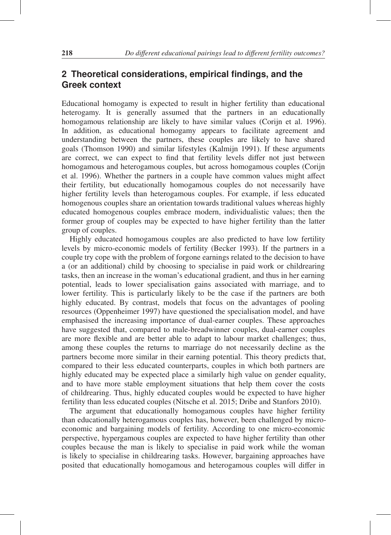## **2 Theoretical considerations, empirical findings, and the Greek context**

Educational homogamy is expected to result in higher fertility than educational heterogamy. It is generally assumed that the partners in an educationally homogamous relationship are likely to have similar values (Corijn et al. 1996). In addition, as educational homogamy appears to facilitate agreement and understanding between the partners, these couples are likely to have shared goals (Thomson 1990) and similar lifestyles (Kalmijn 1991). If these arguments are correct, we can expect to find that fertility levels differ not just between homogamous and heterogamous couples, but across homogamous couples (Corijn et al. 1996). Whether the partners in a couple have common values might affect their fertility, but educationally homogamous couples do not necessarily have higher fertility levels than heterogamous couples. For example, if less educated homogenous couples share an orientation towards traditional values whereas highly educated homogenous couples embrace modern, individualistic values; then the former group of couples may be expected to have higher fertility than the latter group of couples.

Highly educated homogamous couples are also predicted to have low fertility levels by micro-economic models of fertility (Becker 1993). If the partners in a couple try cope with the problem of forgone earnings related to the decision to have a (or an additional) child by choosing to specialise in paid work or childrearing tasks, then an increase in the woman's educational gradient, and thus in her earning potential, leads to lower specialisation gains associated with marriage, and to lower fertility. This is particularly likely to be the case if the partners are both highly educated. By contrast, models that focus on the advantages of pooling resources (Oppenheimer 1997) have questioned the specialisation model, and have emphasised the increasing importance of dual-earner couples. These approaches have suggested that, compared to male-breadwinner couples, dual-earner couples are more flexible and are better able to adapt to labour market challenges; thus, among these couples the returns to marriage do not necessarily decline as the partners become more similar in their earning potential. This theory predicts that, compared to their less educated counterparts, couples in which both partners are highly educated may be expected place a similarly high value on gender equality, and to have more stable employment situations that help them cover the costs of childrearing. Thus, highly educated couples would be expected to have higher fertility than less educated couples (Nitsche et al. 2015; Dribe and Stanfors 2010).

The argument that educationally homogamous couples have higher fertility than educationally heterogamous couples has, however, been challenged by microeconomic and bargaining models of fertility. According to one micro-economic perspective, hypergamous couples are expected to have higher fertility than other couples because the man is likely to specialise in paid work while the woman is likely to specialise in childrearing tasks. However, bargaining approaches have posited that educationally homogamous and heterogamous couples will differ in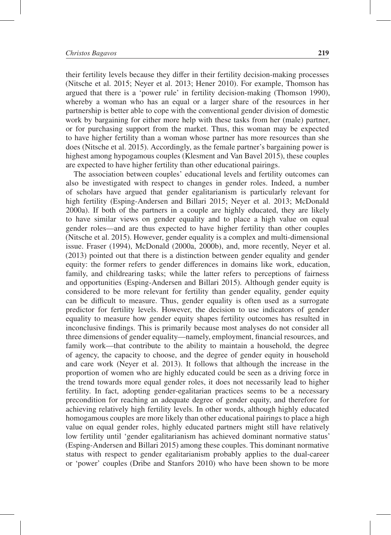their fertility levels because they differ in their fertility decision-making processes (Nitsche et al. 2015; Neyer et al. 2013; Hener 2010). For example, Thomson has argued that there is a 'power rule' in fertility decision-making (Thomson 1990), whereby a woman who has an equal or a larger share of the resources in her partnership is better able to cope with the conventional gender division of domestic work by bargaining for either more help with these tasks from her (male) partner, or for purchasing support from the market. Thus, this woman may be expected to have higher fertility than a woman whose partner has more resources than she does (Nitsche et al. 2015). Accordingly, as the female partner's bargaining power is highest among hypogamous couples (Klesment and Van Bavel 2015), these couples are expected to have higher fertility than other educational pairings.

The association between couples' educational levels and fertility outcomes can also be investigated with respect to changes in gender roles. Indeed, a number of scholars have argued that gender egalitarianism is particularly relevant for high fertility (Esping-Andersen and Billari 2015; Neyer et al. 2013; McDonald 2000a). If both of the partners in a couple are highly educated, they are likely to have similar views on gender equality and to place a high value on equal gender roles—and are thus expected to have higher fertility than other couples (Nitsche et al. 2015). However, gender equality is a complex and multi-dimensional issue. Fraser (1994), McDonald (2000a, 2000b), and, more recently, Neyer et al. (2013) pointed out that there is a distinction between gender equality and gender equity: the former refers to gender differences in domains like work, education, family, and childrearing tasks; while the latter refers to perceptions of fairness and opportunities (Esping-Andersen and Billari 2015). Although gender equity is considered to be more relevant for fertility than gender equality, gender equity can be difficult to measure. Thus, gender equality is often used as a surrogate predictor for fertility levels. However, the decision to use indicators of gender equality to measure how gender equity shapes fertility outcomes has resulted in inconclusive findings. This is primarily because most analyses do not consider all three dimensions of gender equality—namely, employment, financial resources, and family work—that contribute to the ability to maintain a household, the degree of agency, the capacity to choose, and the degree of gender equity in household and care work (Neyer et al. 2013). It follows that although the increase in the proportion of women who are highly educated could be seen as a driving force in the trend towards more equal gender roles, it does not necessarily lead to higher fertility. In fact, adopting gender-egalitarian practices seems to be a necessary precondition for reaching an adequate degree of gender equity, and therefore for achieving relatively high fertility levels. In other words, although highly educated homogamous couples are more likely than other educational pairings to place a high value on equal gender roles, highly educated partners might still have relatively low fertility until 'gender egalitarianism has achieved dominant normative status' (Esping-Andersen and Billari 2015) among these couples. This dominant normative status with respect to gender egalitarianism probably applies to the dual-career or 'power' couples (Dribe and Stanfors 2010) who have been shown to be more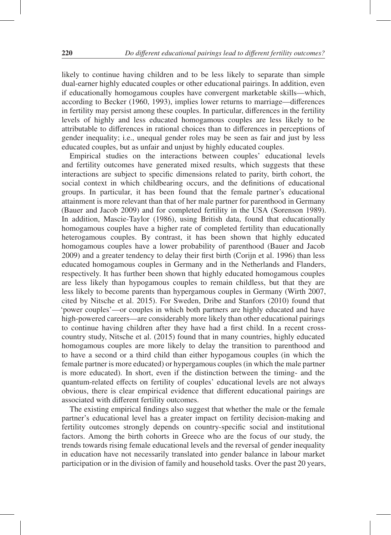likely to continue having children and to be less likely to separate than simple dual-earner highly educated couples or other educational pairings. In addition, even if educationally homogamous couples have convergent marketable skills—which, according to Becker (1960, 1993), implies lower returns to marriage—differences in fertility may persist among these couples. In particular, differences in the fertility levels of highly and less educated homogamous couples are less likely to be attributable to differences in rational choices than to differences in perceptions of gender inequality; i.e., unequal gender roles may be seen as fair and just by less educated couples, but as unfair and unjust by highly educated couples.

Empirical studies on the interactions between couples' educational levels and fertility outcomes have generated mixed results, which suggests that these interactions are subject to specific dimensions related to parity, birth cohort, the social context in which childbearing occurs, and the definitions of educational groups. In particular, it has been found that the female partner's educational attainment is more relevant than that of her male partner for parenthood in Germany (Bauer and Jacob 2009) and for completed fertility in the USA (Sorenson 1989). In addition, Mascie-Taylor (1986), using British data, found that educationally homogamous couples have a higher rate of completed fertility than educationally heterogamous couples. By contrast, it has been shown that highly educated homogamous couples have a lower probability of parenthood (Bauer and Jacob 2009) and a greater tendency to delay their first birth (Corijn et al. 1996) than less educated homogamous couples in Germany and in the Netherlands and Flanders, respectively. It has further been shown that highly educated homogamous couples are less likely than hypogamous couples to remain childless, but that they are less likely to become parents than hypergamous couples in Germany (Wirth 2007, cited by Nitsche et al. 2015). For Sweden, Dribe and Stanfors (2010) found that 'power couples'—or couples in which both partners are highly educated and have high-powered careers—are considerably more likely than other educational pairings to continue having children after they have had a first child. In a recent crosscountry study, Nitsche et al. (2015) found that in many countries, highly educated homogamous couples are more likely to delay the transition to parenthood and to have a second or a third child than either hypogamous couples (in which the female partner is more educated) or hypergamous couples (in which the male partner is more educated). In short, even if the distinction between the timing- and the quantum-related effects on fertility of couples' educational levels are not always obvious, there is clear empirical evidence that different educational pairings are associated with different fertility outcomes.

The existing empirical findings also suggest that whether the male or the female partner's educational level has a greater impact on fertility decision-making and fertility outcomes strongly depends on country-specific social and institutional factors. Among the birth cohorts in Greece who are the focus of our study, the trends towards rising female educational levels and the reversal of gender inequality in education have not necessarily translated into gender balance in labour market participation or in the division of family and household tasks. Over the past 20 years,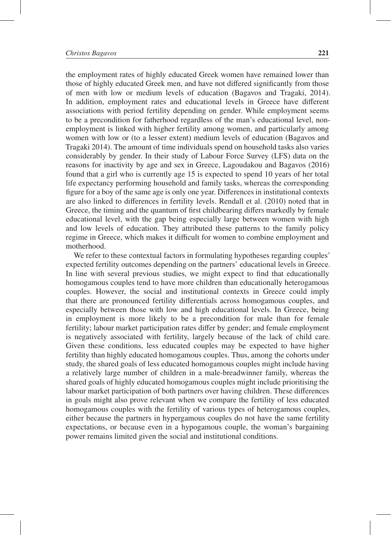the employment rates of highly educated Greek women have remained lower than those of highly educated Greek men, and have not differed significantly from those of men with low or medium levels of education (Bagavos and Tragaki, 2014). In addition, employment rates and educational levels in Greece have different associations with period fertility depending on gender. While employment seems to be a precondition for fatherhood regardless of the man's educational level, nonemployment is linked with higher fertility among women, and particularly among women with low or (to a lesser extent) medium levels of education (Bagavos and Tragaki 2014). The amount of time individuals spend on household tasks also varies considerably by gender. In their study of Labour Force Survey (LFS) data on the reasons for inactivity by age and sex in Greece, Lagoudakou and Bagavos (2016) found that a girl who is currently age 15 is expected to spend 10 years of her total life expectancy performing household and family tasks, whereas the corresponding figure for a boy of the same age is only one year. Differences in institutional contexts are also linked to differences in fertility levels. Rendall et al. (2010) noted that in Greece, the timing and the quantum of first childbearing differs markedly by female educational level, with the gap being especially large between women with high and low levels of education. They attributed these patterns to the family policy regime in Greece, which makes it difficult for women to combine employment and motherhood.

We refer to these contextual factors in formulating hypotheses regarding couples' expected fertility outcomes depending on the partners' educational levels in Greece. In line with several previous studies, we might expect to find that educationally homogamous couples tend to have more children than educationally heterogamous couples. However, the social and institutional contexts in Greece could imply that there are pronounced fertility differentials across homogamous couples, and especially between those with low and high educational levels. In Greece, being in employment is more likely to be a precondition for male than for female fertility; labour market participation rates differ by gender; and female employment is negatively associated with fertility, largely because of the lack of child care. Given these conditions, less educated couples may be expected to have higher fertility than highly educated homogamous couples. Thus, among the cohorts under study, the shared goals of less educated homogamous couples might include having a relatively large number of children in a male-breadwinner family, whereas the shared goals of highly educated homogamous couples might include prioritising the labour market participation of both partners over having children. These differences in goals might also prove relevant when we compare the fertility of less educated homogamous couples with the fertility of various types of heterogamous couples, either because the partners in hypergamous couples do not have the same fertility expectations, or because even in a hypogamous couple, the woman's bargaining power remains limited given the social and institutional conditions.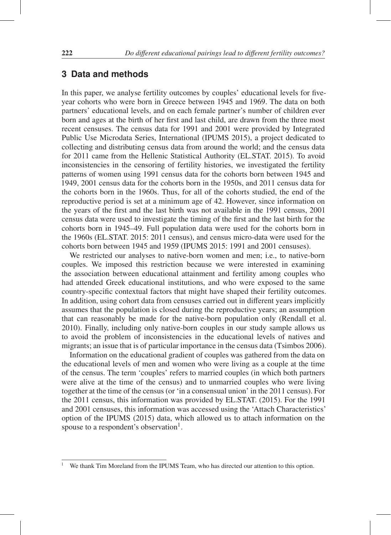### **3 Data and methods**

In this paper, we analyse fertility outcomes by couples' educational levels for fiveyear cohorts who were born in Greece between 1945 and 1969. The data on both partners' educational levels, and on each female partner's number of children ever born and ages at the birth of her first and last child, are drawn from the three most recent censuses. The census data for 1991 and 2001 were provided by Integrated Public Use Microdata Series, International (IPUMS 2015), a project dedicated to collecting and distributing census data from around the world; and the census data for 2011 came from the Hellenic Statistical Authority (EL.STAT. 2015). To avoid inconsistencies in the censoring of fertility histories, we investigated the fertility patterns of women using 1991 census data for the cohorts born between 1945 and 1949, 2001 census data for the cohorts born in the 1950s, and 2011 census data for the cohorts born in the 1960s. Thus, for all of the cohorts studied, the end of the reproductive period is set at a minimum age of 42. However, since information on the years of the first and the last birth was not available in the 1991 census, 2001 census data were used to investigate the timing of the first and the last birth for the cohorts born in 1945–49. Full population data were used for the cohorts born in the 1960s (EL.STAT. 2015: 2011 census), and census micro-data were used for the cohorts born between 1945 and 1959 (IPUMS 2015: 1991 and 2001 censuses).

We restricted our analyses to native-born women and men; i.e., to native-born couples. We imposed this restriction because we were interested in examining the association between educational attainment and fertility among couples who had attended Greek educational institutions, and who were exposed to the same country-specific contextual factors that might have shaped their fertility outcomes. In addition, using cohort data from censuses carried out in different years implicitly assumes that the population is closed during the reproductive years; an assumption that can reasonably be made for the native-born population only (Rendall et al. 2010). Finally, including only native-born couples in our study sample allows us to avoid the problem of inconsistencies in the educational levels of natives and migrants; an issue that is of particular importance in the census data (Tsimbos 2006).

Information on the educational gradient of couples was gathered from the data on the educational levels of men and women who were living as a couple at the time of the census. The term 'couples' refers to married couples (in which both partners were alive at the time of the census) and to unmarried couples who were living together at the time of the census (or 'in a consensual union' in the 2011 census). For the 2011 census, this information was provided by EL.STAT. (2015). For the 1991 and 2001 censuses, this information was accessed using the 'Attach Characteristics' option of the IPUMS (2015) data, which allowed us to attach information on the spouse to a respondent's observation<sup>1</sup>.

<sup>1</sup> We thank Tim Moreland from the IPUMS Team, who has directed our attention to this option.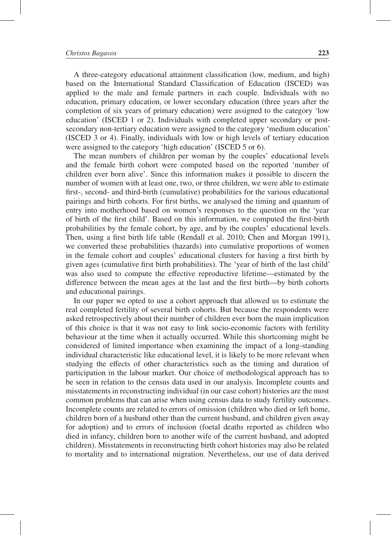A three-category educational attainment classification (low, medium, and high) based on the International Standard Classification of Education (ISCED) was applied to the male and female partners in each couple. Individuals with no education, primary education, or lower secondary education (three years after the completion of six years of primary education) were assigned to the category 'low education' (ISCED 1 or 2). Individuals with completed upper secondary or postsecondary non-tertiary education were assigned to the category 'medium education' (ISCED 3 or 4). Finally, individuals with low or high levels of tertiary education were assigned to the category 'high education' (ISCED 5 or 6).

The mean numbers of children per woman by the couples' educational levels and the female birth cohort were computed based on the reported 'number of children ever born alive'. Since this information makes it possible to discern the number of women with at least one, two, or three children, we were able to estimate first-, second- and third-birth (cumulative) probabilities for the various educational pairings and birth cohorts. For first births, we analysed the timing and quantum of entry into motherhood based on women's responses to the question on the 'year of birth of the first child'. Based on this information, we computed the first-birth probabilities by the female cohort, by age, and by the couples' educational levels. Then, using a first birth life table (Rendall et al. 2010; Chen and Morgan 1991), we converted these probabilities (hazards) into cumulative proportions of women in the female cohort and couples' educational clusters for having a first birth by given ages (cumulative first birth probabilities). The 'year of birth of the last child' was also used to compute the effective reproductive lifetime—estimated by the difference between the mean ages at the last and the first birth—by birth cohorts and educational pairings.

In our paper we opted to use a cohort approach that allowed us to estimate the real completed fertility of several birth cohorts. But because the respondents were asked retrospectively about their number of children ever born the main implication of this choice is that it was not easy to link socio-economic factors with fertility behaviour at the time when it actually occurred. While this shortcoming might be considered of limited importance when examining the impact of a long-standing individual characteristic like educational level, it is likely to be more relevant when studying the effects of other characteristics such as the timing and duration of participation in the labour market. Our choice of methodological approach has to be seen in relation to the census data used in our analysis. Incomplete counts and misstatements in reconstructing individual (in our case cohort) histories are the most common problems that can arise when using census data to study fertility outcomes. Incomplete counts are related to errors of omission (children who died or left home, children born of a husband other than the current husband, and children given away for adoption) and to errors of inclusion (foetal deaths reported as children who died in infancy, children born to another wife of the current husband, and adopted children). Misstatements in reconstructing birth cohort histories may also be related to mortality and to international migration. Nevertheless, our use of data derived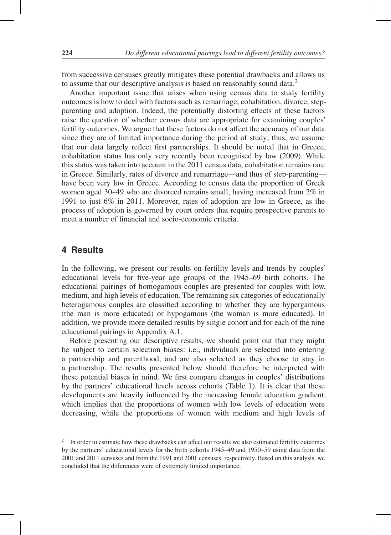from successive censuses greatly mitigates these potential drawbacks and allows us to assume that our descriptive analysis is based on reasonably sound data.<sup>2</sup>

Another important issue that arises when using census data to study fertility outcomes is how to deal with factors such as remarriage, cohabitation, divorce, stepparenting and adoption. Indeed, the potentially distorting effects of these factors raise the question of whether census data are appropriate for examining couples' fertility outcomes. We argue that these factors do not affect the accuracy of our data since they are of limited importance during the period of study; thus, we assume that our data largely reflect first partnerships. It should be noted that in Greece, cohabitation status has only very recently been recognised by law (2009). While this status was taken into account in the 2011 census data, cohabitation remains rare in Greece. Similarly, rates of divorce and remarriage—and thus of step-parenting have been very low in Greece. According to census data the proportion of Greek women aged 30–49 who are divorced remains small, having increased from 2% in 1991 to just 6% in 2011. Moreover, rates of adoption are low in Greece, as the process of adoption is governed by court orders that require prospective parents to meet a number of financial and socio-economic criteria.

## **4 Results**

In the following, we present our results on fertility levels and trends by couples' educational levels for five-year age groups of the 1945–69 birth cohorts. The educational pairings of homogamous couples are presented for couples with low, medium, and high levels of education. The remaining six categories of educationally heterogamous couples are classified according to whether they are hypergamous (the man is more educated) or hypogamous (the woman is more educated). In addition, we provide more detailed results by single cohort and for each of the nine educational pairings in Appendix A.1.

Before presenting our descriptive results, we should point out that they might be subject to certain selection biases: i.e., individuals are selected into entering a partnership and parenthood, and are also selected as they choose to stay in a partnership. The results presented below should therefore be interpreted with these potential biases in mind. We first compare changes in couples' distributions by the partners' educational levels across cohorts (Table 1). It is clear that these developments are heavily influenced by the increasing female education gradient, which implies that the proportions of women with low levels of education were decreasing, while the proportions of women with medium and high levels of

<sup>&</sup>lt;sup>2</sup> In order to estimate how these drawbacks can affect our results we also estimated fertility outcomes by the partners' educational levels for the birth cohorts 1945–49 and 1950–59 using data from the 2001 and 2011 censuses and from the 1991 and 2001 censuses, respectively. Based on this analysis, we concluded that the differences were of extremely limited importance.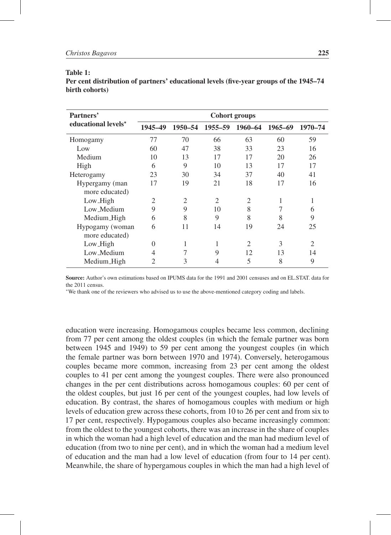| ını<br>я | 16 |  |
|----------|----|--|
|          |    |  |

Per cent distribution of partners' educational levels (five-year groups of the 1945–74 birth cohorts)

| Partners'           |          |                |                 | <b>Cohort groups</b> |         |         |
|---------------------|----------|----------------|-----------------|----------------------|---------|---------|
| educational levels* | 1945-49  |                | 1950-54 1955-59 | 1960-64              | 1965–69 | 1970-74 |
| Homogamy            | 77       | 70             | 66              | 63                   | 60      | 59      |
| Low                 | 60       | 47             | 38              | 33                   | 23      | 16      |
| Medium              | 10       | 13             | 17              | 17                   | 20      | 26      |
| High                | 6        | 9              | 10              | 13                   | 17      | 17      |
| Heterogamy          | 23       | 30             | 34              | 37                   | 40      | 41      |
| Hypergamy (man      | 17       | 19             | 21              | 18                   | 17      | 16      |
| more educated)      |          |                |                 |                      |         |         |
| Low_High            | 2        | $\overline{2}$ | 2               | $\overline{2}$       | 1       | 1       |
| Low_Medium          | 9        | 9              | 10              | 8                    |         | 6       |
| Medium_High         | 6        | 8              | 9               | 8                    | 8       | 9       |
| Hypogamy (woman     | 6        | 11             | 14              | 19                   | 24      | 25      |
| more educated)      |          |                |                 |                      |         |         |
| Low_High            | $\Omega$ | 1              | 1               | 2                    | 3       | 2       |
| Low_Medium          | 4        | 7              | 9               | 12                   | 13      | 14      |
| Medium_High         | 2        | 3              |                 | 5                    | 8       | 9       |

Source: Author's own estimations based on IPUMS data for the 1991 and 2001 censuses and on EL.STAT. data for the 2011 census.

∗We thank one of the reviewers who advised us to use the above-mentioned category coding and labels.

education were increasing. Homogamous couples became less common, declining from 77 per cent among the oldest couples (in which the female partner was born between 1945 and 1949) to 59 per cent among the youngest couples (in which the female partner was born between 1970 and 1974). Conversely, heterogamous couples became more common, increasing from 23 per cent among the oldest couples to 41 per cent among the youngest couples. There were also pronounced changes in the per cent distributions across homogamous couples: 60 per cent of the oldest couples, but just 16 per cent of the youngest couples, had low levels of education. By contrast, the shares of homogamous couples with medium or high levels of education grew across these cohorts, from 10 to 26 per cent and from six to 17 per cent, respectively. Hypogamous couples also became increasingly common: from the oldest to the youngest cohorts, there was an increase in the share of couples in which the woman had a high level of education and the man had medium level of education (from two to nine per cent), and in which the woman had a medium level of education and the man had a low level of education (from four to 14 per cent). Meanwhile, the share of hypergamous couples in which the man had a high level of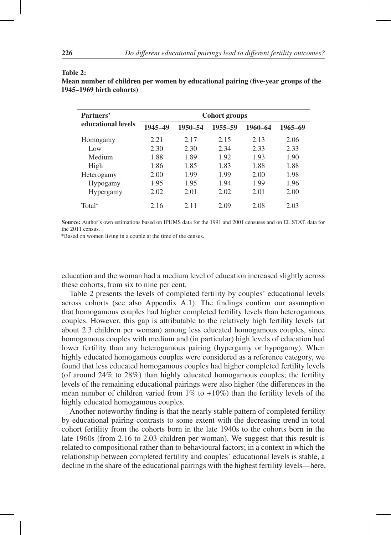| Partners'          |         |         | <b>Cohort groups</b> |         |         |
|--------------------|---------|---------|----------------------|---------|---------|
| educational levels | 1945-49 | 1950-54 | 1955-59              | 1960-64 | 1965–69 |
| Homogamy           | 2.21    | 2.17    | 2.15                 | 2.13    | 2.06    |
| Low                | 2.30    | 2.30    | 2.34                 | 2.33    | 2.33    |
| Medium             | 1.88    | 1.89    | 1.92                 | 1.93    | 1.90    |
| High               | 1.86    | 1.85    | 1.83                 | 1.88    | 1.88    |
| Heterogamy         | 2.00    | 1.99    | 1.99                 | 2.00    | 1.98    |
| <b>Hypogamy</b>    | 1.95    | 1.95    | 1.94                 | 1.99    | 1.96    |
| <b>Hypergamy</b>   | 2.02    | 2.01    | 2.02                 | 2.01    | 2.00    |
| Total*             | 2.16    | 2.11    | 2.09                 | 2.08    | 2.03    |

#### Table 2:

Mean number of children per women by educational pairing (five-year groups of the 1945–1969 birth cohorts)

Source: Author's own estimations based on IPUMS data for the 1991 and 2001 censuses and on EL.STAT. data for the 2011 census.

\*Based on women living in a couple at the time of the census.

education and the woman had a medium level of education increased slightly across these cohorts, from six to nine per cent.

Table 2 presents the levels of completed fertility by couples' educational levels across cohorts (see also Appendix A.1). The findings confirm our assumption that homogamous couples had higher completed fertility levels than heterogamous couples. However, this gap is attributable to the relatively high fertility levels (at about 2.3 children per woman) among less educated homogamous couples, since homogamous couples with medium and (in particular) high levels of education had lower fertility than any heterogamous pairing (hypergamy or hypogamy). When highly educated homogamous couples were considered as a reference category, we found that less educated homogamous couples had higher completed fertility levels (of around 24% to 28%) than highly educated homogamous couples; the fertility levels of the remaining educational pairings were also higher (the differences in the mean number of children varied from  $1\%$  to  $+10\%$ ) than the fertility levels of the highly educated homogamous couples.

Another noteworthy finding is that the nearly stable pattern of completed fertility by educational pairing contrasts to some extent with the decreasing trend in total cohort fertility from the cohorts born in the late 1940s to the cohorts born in the late 1960s (from 2.16 to 2.03 children per woman). We suggest that this result is related to compositional rather than to behavioural factors; in a context in which the relationship between completed fertility and couples' educational levels is stable, a decline in the share of the educational pairings with the highest fertility levels—here,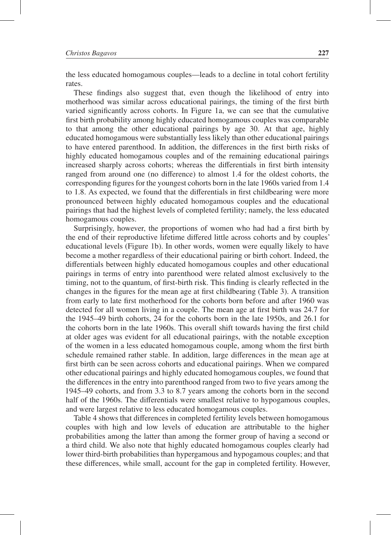the less educated homogamous couples—leads to a decline in total cohort fertility rates.

These findings also suggest that, even though the likelihood of entry into motherhood was similar across educational pairings, the timing of the first birth varied significantly across cohorts. In Figure 1a, we can see that the cumulative first birth probability among highly educated homogamous couples was comparable to that among the other educational pairings by age 30. At that age, highly educated homogamous were substantially less likely than other educational pairings to have entered parenthood. In addition, the differences in the first birth risks of highly educated homogamous couples and of the remaining educational pairings increased sharply across cohorts; whereas the differentials in first birth intensity ranged from around one (no difference) to almost 1.4 for the oldest cohorts, the corresponding figures for the youngest cohorts born in the late 1960s varied from 1.4 to 1.8. As expected, we found that the differentials in first childbearing were more pronounced between highly educated homogamous couples and the educational pairings that had the highest levels of completed fertility; namely, the less educated homogamous couples.

Surprisingly, however, the proportions of women who had had a first birth by the end of their reproductive lifetime differed little across cohorts and by couples' educational levels (Figure 1b). In other words, women were equally likely to have become a mother regardless of their educational pairing or birth cohort. Indeed, the differentials between highly educated homogamous couples and other educational pairings in terms of entry into parenthood were related almost exclusively to the timing, not to the quantum, of first-birth risk. This finding is clearly reflected in the changes in the figures for the mean age at first childbearing (Table 3). A transition from early to late first motherhood for the cohorts born before and after 1960 was detected for all women living in a couple. The mean age at first birth was 24.7 for the 1945–49 birth cohorts, 24 for the cohorts born in the late 1950s, and 26.1 for the cohorts born in the late 1960s. This overall shift towards having the first child at older ages was evident for all educational pairings, with the notable exception of the women in a less educated homogamous couple, among whom the first birth schedule remained rather stable. In addition, large differences in the mean age at first birth can be seen across cohorts and educational pairings. When we compared other educational pairings and highly educated homogamous couples, we found that the differences in the entry into parenthood ranged from two to five years among the 1945–49 cohorts, and from 3.3 to 8.7 years among the cohorts born in the second half of the 1960s. The differentials were smallest relative to hypogamous couples, and were largest relative to less educated homogamous couples.

Table 4 shows that differences in completed fertility levels between homogamous couples with high and low levels of education are attributable to the higher probabilities among the latter than among the former group of having a second or a third child. We also note that highly educated homogamous couples clearly had lower third-birth probabilities than hypergamous and hypogamous couples; and that these differences, while small, account for the gap in completed fertility. However,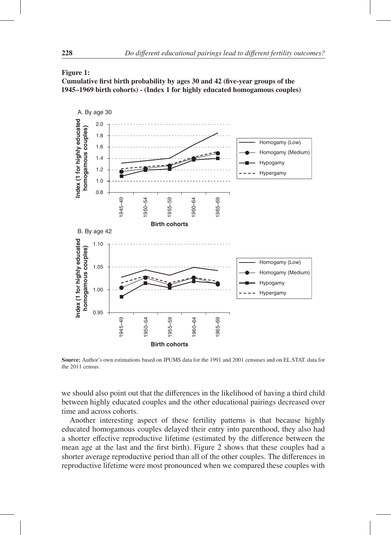#### Figure 1:

Cumulative first birth probability by ages 30 and 42 (five-year groups of the 1945–1969 birth cohorts) - (Index 1 for highly educated homogamous couples)



Source: Author's own estimations based on IPUMS data for the 1991 and 2001 censuses and on EL.STAT. data for the 2011 census.

we should also point out that the differences in the likelihood of having a third child between highly educated couples and the other educational pairings decreased over time and across cohorts.

Another interesting aspect of these fertility patterns is that because highly educated homogamous couples delayed their entry into parenthood, they also had a shorter effective reproductive lifetime (estimated by the difference between the mean age at the last and the first birth). Figure 2 shows that these couples had a shorter average reproductive period than all of the other couples. The differences in reproductive lifetime were most pronounced when we compared these couples with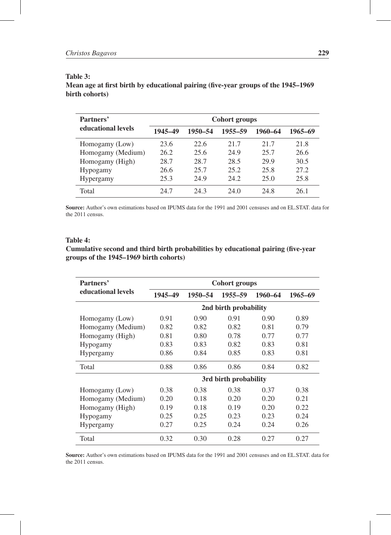### Table 3:

Mean age at first birth by educational pairing (five-year groups of the 1945–1969 birth cohorts)

| Partners'          |         |         | <b>Cohort groups</b> |         |         |
|--------------------|---------|---------|----------------------|---------|---------|
| educational levels | 1945-49 | 1950–54 | 1955-59              | 1960–64 | 1965–69 |
| Homogamy (Low)     | 23.6    | 22.6    | 21.7                 | 21.7    | 21.8    |
| Homogamy (Medium)  | 26.2    | 25.6    | 24.9                 | 25.7    | 26.6    |
| Homogamy (High)    | 28.7    | 28.7    | 28.5                 | 29.9    | 30.5    |
| Hypogamy           | 26.6    | 25.7    | 25.2                 | 25.8    | 27.2    |
| <b>Hypergamy</b>   | 25.3    | 24.9    | 24.2                 | 25.0    | 25.8    |
| Total              | 24.7    | 24.3    | 24.0                 | 24.8    | 26.1    |

Source: Author's own estimations based on IPUMS data for the 1991 and 2001 censuses and on EL.STAT. data for the 2011 census.

#### Table 4:

#### Cumulative second and third birth probabilities by educational pairing (five-year groups of the 1945–1969 birth cohorts)

| Partners'          |         |         | Cohort groups         |         |         |
|--------------------|---------|---------|-----------------------|---------|---------|
| educational levels | 1945-49 | 1950-54 | 1955-59               | 1960-64 | 1965-69 |
|                    |         |         | 2nd birth probability |         |         |
| Homogamy (Low)     | 0.91    | 0.90    | 0.91                  | 0.90    | 0.89    |
| Homogamy (Medium)  | 0.82    | 0.82    | 0.82                  | 0.81    | 0.79    |
| Homogamy (High)    | 0.81    | 0.80    | 0.78                  | 0.77    | 0.77    |
| Hypogamy           | 0.83    | 0.83    | 0.82                  | 0.83    | 0.81    |
| Hypergamy          | 0.86    | 0.84    | 0.85                  | 0.83    | 0.81    |
| Total              | 0.88    | 0.86    | 0.86                  | 0.84    | 0.82    |
|                    |         |         | 3rd birth probability |         |         |
| Homogamy (Low)     | 0.38    | 0.38    | 0.38                  | 0.37    | 0.38    |
| Homogamy (Medium)  | 0.20    | 0.18    | 0.20                  | 0.20    | 0.21    |
| Homogamy (High)    | 0.19    | 0.18    | 0.19                  | 0.20    | 0.22    |
| Hypogamy           | 0.25    | 0.25    | 0.23                  | 0.23    | 0.24    |
| <b>Hypergamy</b>   | 0.27    | 0.25    | 0.24                  | 0.24    | 0.26    |
| Total              | 0.32    | 0.30    | 0.28                  | 0.27    | 0.27    |

Source: Author's own estimations based on IPUMS data for the 1991 and 2001 censuses and on EL.STAT. data for the 2011 census.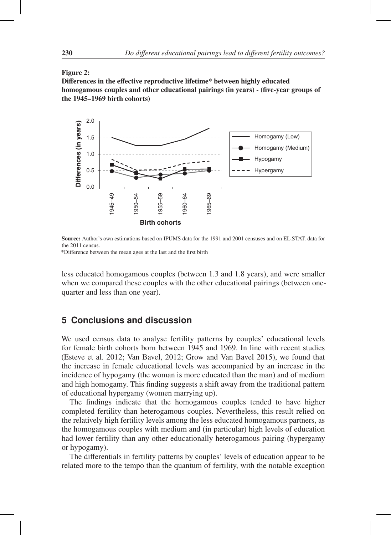#### Figure 2:

Differences in the effective reproductive lifetime\* between highly educated homogamous couples and other educational pairings (in years) - (five-year groups of the 1945–1969 birth cohorts)



Source: Author's own estimations based on IPUMS data for the 1991 and 2001 censuses and on EL.STAT. data for the 2011 census.

\*Difference between the mean ages at the last and the first birth

less educated homogamous couples (between 1.3 and 1.8 years), and were smaller when we compared these couples with the other educational pairings (between onequarter and less than one year).

## **5 Conclusions and discussion**

We used census data to analyse fertility patterns by couples' educational levels for female birth cohorts born between 1945 and 1969. In line with recent studies (Esteve et al. 2012; Van Bavel, 2012; Grow and Van Bavel 2015), we found that the increase in female educational levels was accompanied by an increase in the incidence of hypogamy (the woman is more educated than the man) and of medium and high homogamy. This finding suggests a shift away from the traditional pattern of educational hypergamy (women marrying up).

The findings indicate that the homogamous couples tended to have higher completed fertility than heterogamous couples. Nevertheless, this result relied on the relatively high fertility levels among the less educated homogamous partners, as the homogamous couples with medium and (in particular) high levels of education had lower fertility than any other educationally heterogamous pairing (hypergamy or hypogamy).

The differentials in fertility patterns by couples' levels of education appear to be related more to the tempo than the quantum of fertility, with the notable exception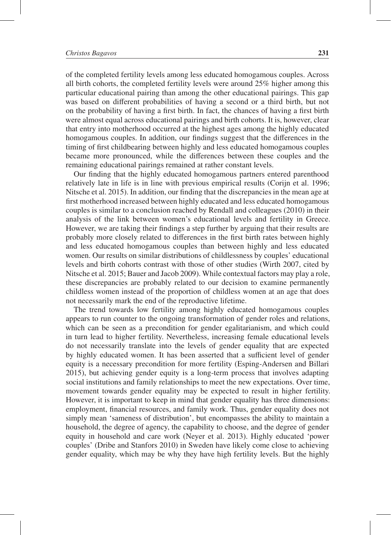of the completed fertility levels among less educated homogamous couples. Across all birth cohorts, the completed fertility levels were around 25% higher among this particular educational pairing than among the other educational pairings. This gap was based on different probabilities of having a second or a third birth, but not on the probability of having a first birth. In fact, the chances of having a first birth were almost equal across educational pairings and birth cohorts. It is, however, clear that entry into motherhood occurred at the highest ages among the highly educated homogamous couples. In addition, our findings suggest that the differences in the timing of first childbearing between highly and less educated homogamous couples became more pronounced, while the differences between these couples and the remaining educational pairings remained at rather constant levels.

Our finding that the highly educated homogamous partners entered parenthood relatively late in life is in line with previous empirical results (Corijn et al. 1996; Nitsche et al. 2015). In addition, our finding that the discrepancies in the mean age at first motherhood increased between highly educated and less educated homogamous couples is similar to a conclusion reached by Rendall and colleagues (2010) in their analysis of the link between women's educational levels and fertility in Greece. However, we are taking their findings a step further by arguing that their results are probably more closely related to differences in the first birth rates between highly and less educated homogamous couples than between highly and less educated women. Our results on similar distributions of childlessness by couples' educational levels and birth cohorts contrast with those of other studies (Wirth 2007, cited by Nitsche et al. 2015; Bauer and Jacob 2009). While contextual factors may play a role, these discrepancies are probably related to our decision to examine permanently childless women instead of the proportion of childless women at an age that does not necessarily mark the end of the reproductive lifetime.

The trend towards low fertility among highly educated homogamous couples appears to run counter to the ongoing transformation of gender roles and relations, which can be seen as a precondition for gender egalitarianism, and which could in turn lead to higher fertility. Nevertheless, increasing female educational levels do not necessarily translate into the levels of gender equality that are expected by highly educated women. It has been asserted that a sufficient level of gender equity is a necessary precondition for more fertility (Esping-Andersen and Billari 2015), but achieving gender equity is a long-term process that involves adapting social institutions and family relationships to meet the new expectations. Over time, movement towards gender equality may be expected to result in higher fertility. However, it is important to keep in mind that gender equality has three dimensions: employment, financial resources, and family work. Thus, gender equality does not simply mean 'sameness of distribution', but encompasses the ability to maintain a household, the degree of agency, the capability to choose, and the degree of gender equity in household and care work (Neyer et al. 2013). Highly educated 'power couples' (Dribe and Stanfors 2010) in Sweden have likely come close to achieving gender equality, which may be why they have high fertility levels. But the highly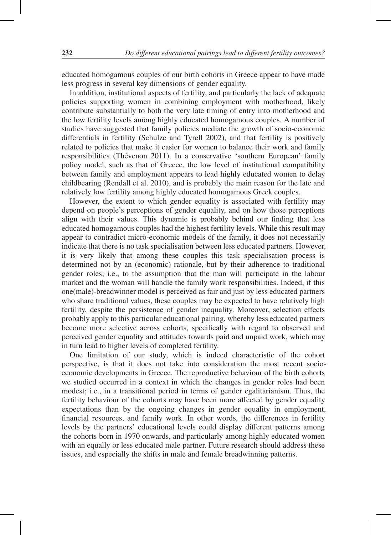educated homogamous couples of our birth cohorts in Greece appear to have made less progress in several key dimensions of gender equality.

In addition, institutional aspects of fertility, and particularly the lack of adequate policies supporting women in combining employment with motherhood, likely contribute substantially to both the very late timing of entry into motherhood and the low fertility levels among highly educated homogamous couples. A number of studies have suggested that family policies mediate the growth of socio-economic differentials in fertility (Schulze and Tyrell 2002), and that fertility is positively related to policies that make it easier for women to balance their work and family responsibilities (Thévenon 2011). In a conservative 'southern European' family policy model, such as that of Greece, the low level of institutional compatibility between family and employment appears to lead highly educated women to delay childbearing (Rendall et al. 2010), and is probably the main reason for the late and relatively low fertility among highly educated homogamous Greek couples.

However, the extent to which gender equality is associated with fertility may depend on people's perceptions of gender equality, and on how those perceptions align with their values. This dynamic is probably behind our finding that less educated homogamous couples had the highest fertility levels. While this result may appear to contradict micro-economic models of the family, it does not necessarily indicate that there is no task specialisation between less educated partners. However, it is very likely that among these couples this task specialisation process is determined not by an (economic) rationale, but by their adherence to traditional gender roles; i.e., to the assumption that the man will participate in the labour market and the woman will handle the family work responsibilities. Indeed, if this one(male)-breadwinner model is perceived as fair and just by less educated partners who share traditional values, these couples may be expected to have relatively high fertility, despite the persistence of gender inequality. Moreover, selection effects probably apply to this particular educational pairing, whereby less educated partners become more selective across cohorts, specifically with regard to observed and perceived gender equality and attitudes towards paid and unpaid work, which may in turn lead to higher levels of completed fertility.

One limitation of our study, which is indeed characteristic of the cohort perspective, is that it does not take into consideration the most recent socioeconomic developments in Greece. The reproductive behaviour of the birth cohorts we studied occurred in a context in which the changes in gender roles had been modest; i.e., in a transitional period in terms of gender egalitarianism. Thus, the fertility behaviour of the cohorts may have been more affected by gender equality expectations than by the ongoing changes in gender equality in employment, financial resources, and family work. In other words, the differences in fertility levels by the partners' educational levels could display different patterns among the cohorts born in 1970 onwards, and particularly among highly educated women with an equally or less educated male partner. Future research should address these issues, and especially the shifts in male and female breadwinning patterns.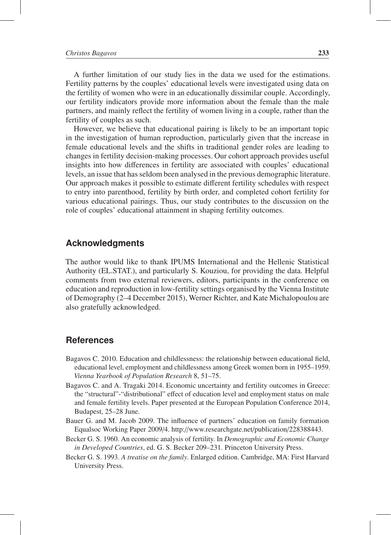A further limitation of our study lies in the data we used for the estimations. Fertility patterns by the couples' educational levels were investigated using data on the fertility of women who were in an educationally dissimilar couple. Accordingly, our fertility indicators provide more information about the female than the male partners, and mainly reflect the fertility of women living in a couple, rather than the fertility of couples as such.

However, we believe that educational pairing is likely to be an important topic in the investigation of human reproduction, particularly given that the increase in female educational levels and the shifts in traditional gender roles are leading to changes in fertility decision-making processes. Our cohort approach provides useful insights into how differences in fertility are associated with couples' educational levels, an issue that has seldom been analysed in the previous demographic literature. Our approach makes it possible to estimate different fertility schedules with respect to entry into parenthood, fertility by birth order, and completed cohort fertility for various educational pairings. Thus, our study contributes to the discussion on the role of couples' educational attainment in shaping fertility outcomes.

#### **Acknowledgments**

The author would like to thank IPUMS International and the Hellenic Statistical Authority (EL.STAT.), and particularly S. Kouziou, for providing the data. Helpful comments from two external reviewers, editors, participants in the conference on education and reproduction in low-fertility settings organised by the Vienna Institute of Demography (2–4 December 2015), Werner Richter, and Kate Michalopoulou are also gratefully acknowledged.

#### **References**

- Bagavos C. 2010. Education and childlessness: the relationship between educational field, educational level, employment and childlessness among Greek women born in 1955–1959. *Vienna Yearbook of Population Research* 8, 51–75.
- Bagavos C. and A. Tragaki 2014. Economic uncertainty and fertility outcomes in Greece: the "structural"-"distributional" effect of education level and employment status on male and female fertility levels. Paper presented at the European Population Conference 2014, Budapest, 25–28 June.
- Bauer G. and M. Jacob 2009. The influence of partners' education on family formation Equalsoc Working Paper 2009/4. http://www.researchgate.net/publication/228388443.
- Becker G. S. 1960. An economic analysis of fertility. In *Demographic and Economic Change in Developed Countries*, ed. G. S. Becker 209–231. Princeton University Press.
- Becker G. S. 1993. *A treatise on the family*. Enlarged edition. Cambridge, MA: First Harvard University Press.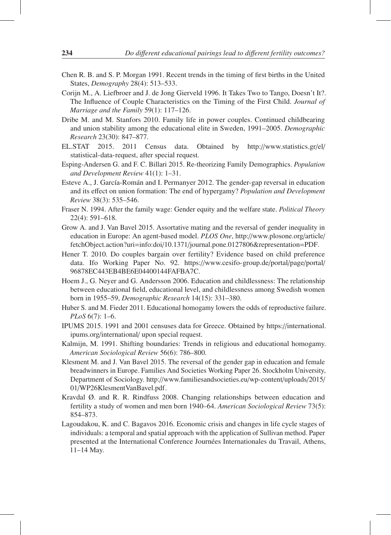- Chen R. B. and S. P. Morgan 1991. Recent trends in the timing of first births in the United States, *Demography* 28(4): 513–533.
- Corijn M., A. Liefbroer and J. de Jong Gierveld 1996. It Takes Two to Tango, Doesn't It?. The Influence of Couple Characteristics on the Timing of the First Child. *Journal of Marriage and the Family* 59(1): 117–126.
- Dribe M. and M. Stanfors 2010. Family life in power couples. Continued childbearing and union stability among the educational elite in Sweden, 1991–2005. *Demographic Research* 23(30): 847–877.
- EL.STAT 2015. 2011 Census data. Obtained by http://www.statistics.gr/el/ statistical-data-request, after special request.
- Esping-Andersen G. and F. C. Billari 2015. Re-theorizing Family Demographics. *Population and Development Review* 41(1): 1–31.
- Esteve A., J. García-Román and I. Permanyer 2012. The gender-gap reversal in education and its effect on union formation: The end of hypergamy? *Population and Development Review* 38(3): 535–546.
- Fraser N. 1994. After the family wage: Gender equity and the welfare state. *Political Theory* 22(4): 591–618.
- Grow A. and J. Van Bavel 2015. Assortative mating and the reversal of gender inequality in education in Europe: An agent-based model. *PLOS One*, http://www.plosone.org/article/ fetchObject.action?uri=info:doi/10.1371/journal.pone.0127806&representation=PDF.
- Hener T. 2010. Do couples bargain over fertility? Evidence based on child preference data. Ifo Working Paper No. 92. https://www.cesifo-group.de/portal/page/portal/ 96878EC443EB4BE6E04400144FAFBA7C.
- Hoem J., G. Neyer and G. Andersson 2006. Education and childlessness: The relationship between educational field, educational level, and childlessness among Swedish women born in 1955–59, *Demographic Research* 14(15): 331–380.
- Huber S. and M. Fieder 2011. Educational homogamy lowers the odds of reproductive failure. *PLoS* 6(7): 1–6.
- IPUMS 2015. 1991 and 2001 censuses data for Greece. Obtained by https://international. ipums.org/international/ upon special request.
- Kalmijn, M. 1991. Shifting boundaries: Trends in religious and educational homogamy. *American Sociological Review* 56(6): 786–800.
- Klesment M. and J. Van Bavel 2015. The reversal of the gender gap in education and female breadwinners in Europe. Families And Societies Working Paper 26. Stockholm University, Department of Sociology. http://www.familiesandsocieties.eu/wp-content/uploads/2015/ 01/WP26KlesmentVanBavel.pdf.
- Kravdal Ø. and R. R. Rindfuss 2008. Changing relationships between education and fertility a study of women and men born 1940–64. *American Sociological Review* 73(5): 854–873.
- Lagoudakou, K. and C. Bagavos 2016. Economic crisis and changes in life cycle stages of individuals: a temporal and spatial approach with the application of Sullivan method. Paper presented at the International Conference Journées Internationales du Travail, Athens, 11–14 May.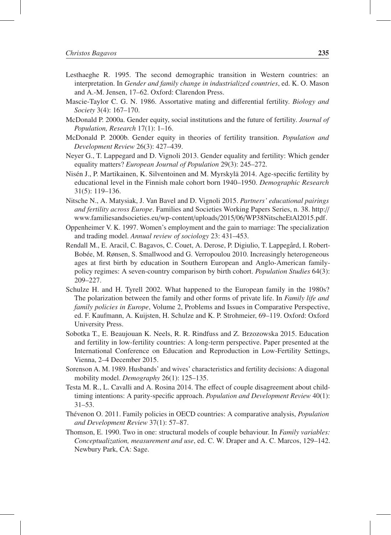- Lesthaeghe R. 1995. The second demographic transition in Western countries: an interpretation. In *Gender and family change in industrialized countries*, ed. K. O. Mason and A.-M. Jensen, 17–62. Oxford: Clarendon Press.
- Mascie-Taylor C. G. N. 1986. Assortative mating and differential fertility. *Biology and Society* 3(4): 167–170.
- McDonald P. 2000a. Gender equity, social institutions and the future of fertility. *Journal of Population, Research* 17(1): 1–16.
- McDonald P. 2000b. Gender equity in theories of fertility transition. *Population and Development Review* 26(3): 427–439.
- Neyer G., T. Lappegard and D. Vignoli 2013. Gender equality and fertility: Which gender equality matters? *European Journal of Population* 29(3): 245–272.
- Nisén J., P. Martikainen, K. Silventoinen and M. Myrskylä 2014. Age-specific fertility by educational level in the Finnish male cohort born 1940–1950. *Demographic Research* 31(5): 119–136.
- Nitsche N., A. Matysiak, J. Van Bavel and D. Vignoli 2015. *Partners' educational pairings and fertility across Europe*. Families and Societies Working Papers Series, n. 38. http:// www.familiesandsocieties.eu/wp-content/uploads/2015/06/WP38NitscheEtAl2015.pdf.
- Oppenheimer V. K. 1997. Women's employment and the gain to marriage: The specialization and trading model. *Annual review of sociology* 23: 431–453.
- Rendall M., E. Aracil, C. Bagavos, C. Couet, A. Derose, P. Digiulio, T. Lappegård, I. Robert-Bobée, M. Rønsen, S. Smallwood and G. Verropoulou 2010. Increasingly heterogeneous ages at first birth by education in Southern European and Anglo-American familypolicy regimes: A seven-country comparison by birth cohort. *Population Studies* 64(3): 209–227.
- Schulze H. and H. Tyrell 2002. What happened to the European family in the 1980s? The polarization between the family and other forms of private life. In *Family life and family policies in Europe*, Volume 2, Problems and Issues in Comparative Perspective, ed. F. Kaufmann, A. Kuijsten, H. Schulze and K. P. Strohmeier, 69–119. Oxford: Oxford University Press.
- Sobotka T., E. Beaujouan K. Neels, R. R. Rindfuss and Z. Brzozowska 2015. Education and fertility in low-fertility countries: A long-term perspective. Paper presented at the International Conference on Education and Reproduction in Low-Fertility Settings, Vienna, 2–4 December 2015.
- Sorenson A. M. 1989. Husbands' and wives' characteristics and fertility decisions: A diagonal mobility model. *Demography* 26(1): 125–135.
- Testa M. R., L. Cavalli and A. Rosina 2014. The effect of couple disagreement about childtiming intentions: A parity-specific approach. *Population and Development Review* 40(1): 31–53.
- Thévenon O. 2011. Family policies in OECD countries: A comparative analysis, *Population and Development Review* 37(1): 57–87.
- Thomson, E. 1990. Two in one: structural models of couple behaviour. In *Family variables: Conceptualization, measurement and use*, ed. C. W. Draper and A. C. Marcos, 129–142. Newbury Park, CA: Sage.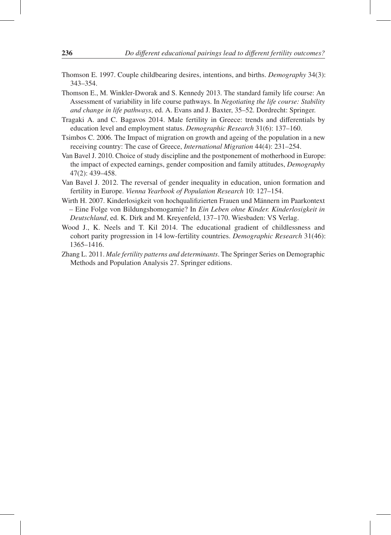- Thomson E. 1997. Couple childbearing desires, intentions, and births. *Demography* 34(3): 343–354.
- Thomson E., M. Winkler-Dworak and S. Kennedy 2013. The standard family life course: An Assessment of variability in life course pathways. In *Negotiating the life course: Stability and change in life pathways*, ed. A. Evans and J. Baxter, 35–52. Dordrecht: Springer.
- Tragaki A. and C. Bagavos 2014. Male fertility in Greece: trends and differentials by education level and employment status. *Demographic Research* 31(6): 137–160.
- Tsimbos C. 2006. The Impact of migration on growth and ageing of the population in a new receiving country: The case of Greece, *International Migration* 44(4): 231–254.
- Van Bavel J. 2010. Choice of study discipline and the postponement of motherhood in Europe: the impact of expected earnings, gender composition and family attitudes, *Demography* 47(2): 439–458.
- Van Bavel J. 2012. The reversal of gender inequality in education, union formation and fertility in Europe. *Vienna Yearbook of Population Research* 10: 127–154.
- Wirth H. 2007. Kinderlosigkeit von hochqualifizierten Frauen und Männern im Paarkontext – Eine Folge von Bildungshomogamie? In *Ein Leben ohne Kinder. Kinderlosigkeit in Deutschland*, ed. K. Dirk and M. Kreyenfeld, 137–170. Wiesbaden: VS Verlag.
- Wood J., K. Neels and T. Kil 2014. The educational gradient of childlessness and cohort parity progression in 14 low-fertility countries. *Demographic Research* 31(46): 1365–1416.
- Zhang L. 2011. *Male fertility patterns and determinants*. The Springer Series on Demographic Methods and Population Analysis 27. Springer editions.